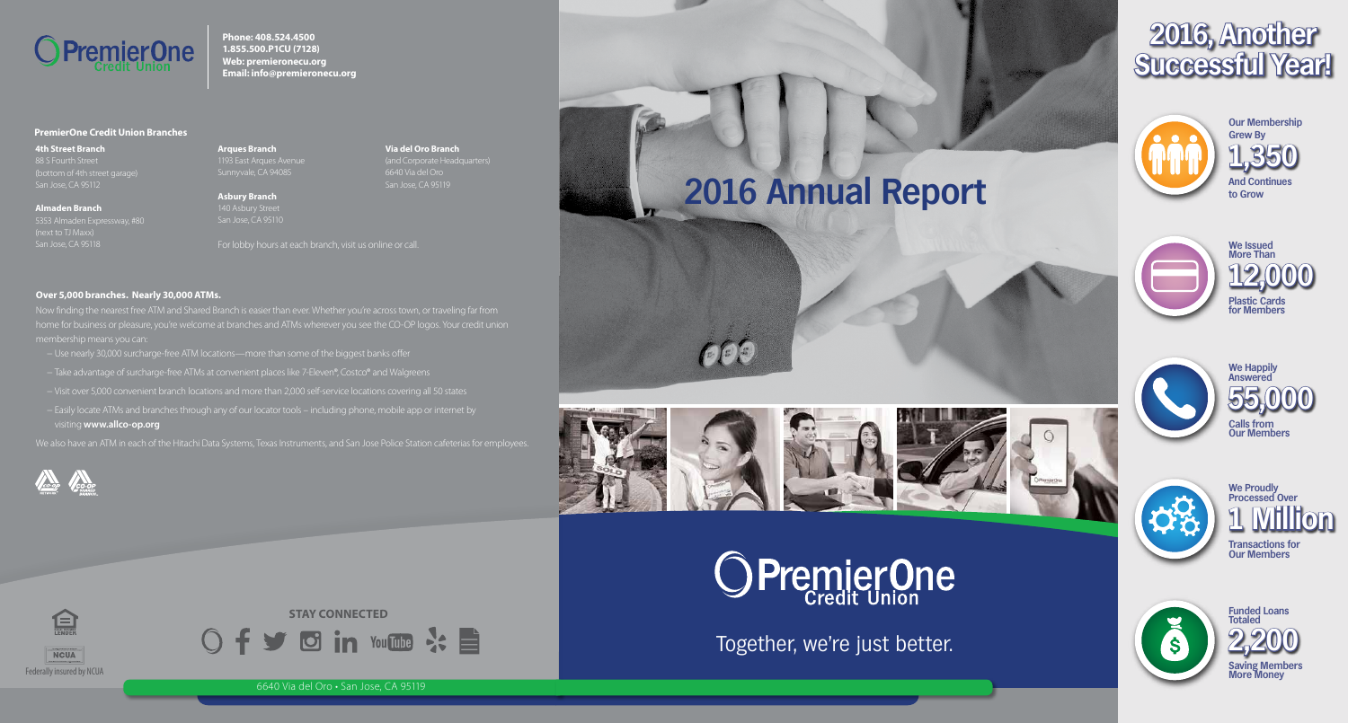Together, we're just better.



6640 Via del Oro • San Jose, CA 95119

**Over 5,000 branches. Nearly 30,000 ATMs.** 

Now finding the nearest free ATM and Shared Branch is easier than ever. Whether you're across town, or traveling far from home for business or pleasure, you're welcome at branches and ATMs wherever you see the CO-OP logos. Your credit union membership means you can:

For lobby hours at each branch, visit us online or call.

**4th Street Branch** 88 S Fourth Street (bottom of 4th street garage) San Jose, CA 95112

- − Use nearly 30,000 surcharge-free ATM locations—more than some of the biggest banks offer
- − Take advantage of surcharge-free ATMs at convenient places like 7-Eleven®, Costco® and Walgreens
- − Visit over 5,000 convenient branch locations and more than 2,000 self-service locations covering all 50 states
- − Easily locate ATMs and branches through any of our locator tools including phone, mobile app or internet by visiting **www.allco-op.org**

**Asbury Branch**  140 Asbury Street San Jose, CA 95110

**STAY CONNECTED** Of y din YouTube & E

We also have an ATM in each of the Hitachi Data Systems, Texas Instruments, and San Jose Police Station cafeterias for employees.





 $\bigcirc$ 





**Phone: 408.524.4500 1.855.500.P1CU (7128) Web: premieronecu.org Email: info@premieronecu.org**



信

#### **PremierOne Credit Union Branches**

**Almaden Branch** 5353 Almaden Expressway, #80 (next to TJ Maxx) San Jose, CA 95118

**Arques Branch** 1193 East Arques Avenue

**Via del Oro Branch** (and Corporate Headquarters) 6640 Via del Oro

San Jose, CA 95119

**2016 Annual Report**

# **2016, Another Successful Year!**



**And Continues to Grow Our Membership Grew By 1,350**



**Calls from Our Members 55,000 We Happily Answered**



**Transactions for Our Members 10 M We Proudly Processed Over**









**Plastic Cards for Members We Issued More Than 12,000**